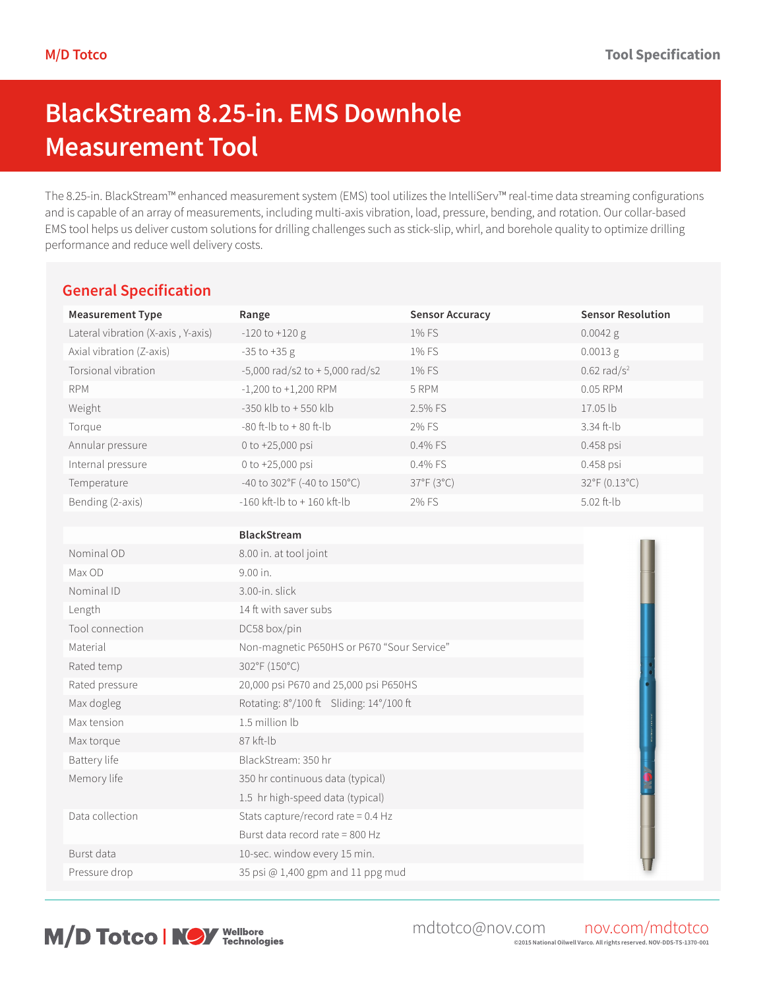# **BlackStream 8.25-in. EMS Downhole Measurement Tool**

The 8.25-in. BlackStream™ enhanced measurement system (EMS) tool utilizes the IntelliServ™ real-time data streaming configurations and is capable of an array of measurements, including multi-axis vibration, load, pressure, bending, and rotation. Our collar-based EMS tool helps us deliver custom solutions for drilling challenges such as stick-slip, whirl, and borehole quality to optimize drilling performance and reduce well delivery costs.

### **General Specification**

| <b>Measurement Type</b>            | Range                                      | <b>Sensor Accuracy</b> | <b>Sensor Resolution</b>  |
|------------------------------------|--------------------------------------------|------------------------|---------------------------|
| Lateral vibration (X-axis, Y-axis) | $-120$ to $+120$ g                         | 1% FS                  | $0.0042$ g                |
| Axial vibration (Z-axis)           | $-35$ to $+35$ g                           | 1% FS                  | 0.0013 g                  |
| Torsional vibration                | $-5,000$ rad/s2 to $+5,000$ rad/s2         | 1% FS                  | $0.62$ rad/s <sup>2</sup> |
| <b>RPM</b>                         | $-1,200$ to $+1,200$ RPM                   | 5 RPM                  | 0.05 RPM                  |
| Weight                             | -350 klb to +550 klb                       | 2.5% FS                | 17.05 lb                  |
| Torque                             | -80 ft-lb to +80 ft-lb                     | 2% FS                  | 3.34 ft-lb                |
| Annular pressure                   | 0 to +25,000 psi                           | 0.4% FS                | 0.458 psi                 |
| Internal pressure                  | 0 to +25,000 psi                           | 0.4% FS                | 0.458 psi                 |
| Temperature                        | -40 to 302°F (-40 to 150°C)                | 37°F (3°C)             | 32°F (0.13°C)             |
| Bending (2-axis)                   | -160 kft-lb to $+$ 160 kft-lb              | 2% FS                  | 5.02 ft-lb                |
|                                    |                                            |                        |                           |
|                                    | <b>BlackStream</b>                         |                        |                           |
| Nominal OD                         | 8.00 in. at tool joint                     |                        |                           |
| Max OD                             | 9.00 in.                                   |                        |                           |
| Nominal ID                         | 3.00-in. slick                             |                        |                           |
| Length                             | 14 ft with saver subs                      |                        |                           |
| Tool connection                    | DC58 box/pin                               |                        |                           |
| Material                           | Non-magnetic P650HS or P670 "Sour Service" |                        |                           |
| Rated temp                         | 302°F (150°C)                              |                        |                           |
| Rated pressure                     | 20,000 psi P670 and 25,000 psi P650HS      |                        |                           |
| Max dogleg                         | Rotating: 8°/100 ft Sliding: 14°/100 ft    |                        |                           |
| Max tension                        | 1.5 million lb                             |                        |                           |
| Max torque                         | 87 kft-lb                                  |                        |                           |
| Battery life                       | BlackStream: 350 hr                        |                        |                           |
| Memory life                        | 350 hr continuous data (typical)           |                        |                           |
|                                    | 1.5 hr high-speed data (typical)           |                        |                           |
| Data collection                    | Stats capture/record rate = $0.4$ Hz       |                        |                           |
|                                    | Burst data record rate = 800 Hz            |                        |                           |
| Burst data                         | 10-sec. window every 15 min.               |                        |                           |
| Pressure drop                      | 35 psi @ 1,400 gpm and 11 ppg mud          |                        |                           |
|                                    |                                            |                        |                           |